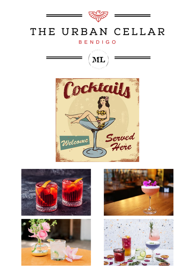

## THE URBAN CELLAR

## **BENDIGO**











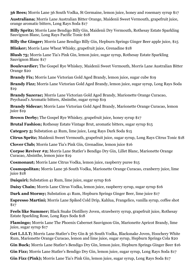**36 Bees;** Morris Lane 36 South Vodka, St Germaine, lemon juice, honey and rosemary syrup \$17

**Australiana;** Morris Lane Australian Bitter Orange, Maidenii Sweet Vermouth, grapefruit juice, orange aromatic bitters, Long Rays Soda \$17

**Billy Spritz;** Morris Lane Bendigo Billy Gin, Maidenii Dry Vermouth, Rothesay Estate Sparkling Sauvignon Blanc, Long Rays Pacific Tonic \$18

**Billy the Ginger;** Morris Lane Bendigo Billy Gin, Hepburn Springs Ginger Beer apple juice, \$15

**Blinker;** Morris Lane Wheat Whisky, grapefruit juice, Grenadine \$18

**Blush 75;** Morris Lane Tia's Pink Gin, lemon juice, sugar syrup, Rothesay Estate Sparkling Sauvignon Blanc \$17

**Boulevardier;** The Gospel Rye Whiskey, Maidenii Sweet Vermouth, Morris Lane Australian Bitter Orange \$20

**Brandy Fix;** Morris Lane Victorian Gold Aged Brandy, lemon juice, sugar cube \$19

**Brandy Fizz;** Morris Lane Victorian Gold Aged Brandy, lemon juice, sugar syrup, Long Rays Soda \$19

**Brandy Sazerac;** Morris Lane Victorian Gold Aged Brandy, Marionette Orange Curacao, Peychaud's Aromatic bitters, Absinthe, sugar syrup \$19

**Brandy Sidecar;** Morris Lane Victorian Gold Aged Brandy, Marionette Orange Curacao, lemon juice \$19

**Brown Derby;** The Gospel Rye Whiskey, grapefruit juice, honey syrup \$17

**Brutal Fashion;** Rothesay Estate Vintage Brut, aromatic bitters, sugar syrup \$15

**Category 5;** Substation 41 Rum, lime juice, Long Rays Dark Soda \$15

**Citrus Spritz;** Maidenii Sweet Vermouth, grapefruit juice, sugar syrup, Long Rays Citrus Tonic \$18

**Clover Club;** Morris Lane Tia's Pink Gin, Grenadine, lemon juice \$16

**Corpse Reviver #2;** Morris Lane Statler's Bendigo Dry Gin, Lillet Blanc, Marionette Orange Curacao, Absinthe, lemon juice \$19

**Cosmonaut;** Morris Lane Citrus Vodka, lemon juice, raspberry puree \$15

**Cosmopolitan;** Morris Lane 36 South Vodka, Marionette Orange Curacao, cranberry juice, lime juice \$18

**Daiquiri:** Substation 41 Rum, lime juice, sugar syrup \$16

**Daisy Chain;** Morris Lane Citrus Vodka, lemon juice, raspberry syrup, sugar syrup \$16

**Dark and Stormy;** Substation 41 Rum, Hepburn Springs Ginger Beer, lime juice \$17

**Espresso Martini;** Morris Lane Spiked Cold Drip, Kahlua, Frangelico, vanilla syrup, coffee shot \$17

**Feels like Summer;** Black Snake Distillery Joven, strawberry syrup, grapefruit juice, Rothesay Estate Sparkling Rose, Long Rays Soda \$18

**Flamingo;** Morris Lane The Phoenix Cabernet Sauvignon Gin, Marionette Apricot Brandy, lime juice, sugar syrup \$17

**Get L.I.I.T;** Morris Lane Statler's Dry Gin & 36 South Vodka, Blacksnake Joven, Hoochery White Rum, Marionette Orange Curacao, lemon and lime juice, sugar syrup, Hepburn Springs Cola \$20

**Gin Buck;** Morris Lane Statler's Bendigo Dry Gin, lemon juice, Hepburn Springs Ginger Beer \$16

**Gin Fizz;** Morris Lane Statler's Bendigo Dry Gin, lemon juice, sugar syrup, Long Rays Soda \$17

**Gin Fizz (Pink);** Morris Lane Tia's Pink Gin, lemon juice, sugar syrup, Long Rays Soda \$17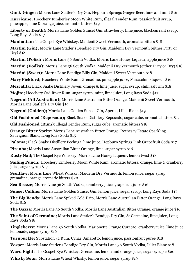**Gin & Ginger;** Morris Lane Statler's Dry Gin, Hepburn Springs Ginger Beer, lime and mint \$16

**Hurricane;** Hoochery Kimberley Moon White Rum, Illegal Tender Rum, passionfruit syrup, pineapple, lime & orange juice, aromatic bitters \$19

**Liberty or Death!;** Morris Lane Golden Sunset Gin, strawberry, lime juice, blackcurrant syrup, Long Rays Soda \$17

**Manhattan;** The Gospel Rye Whiskey, Maidenii Sweet Vermouth, aromatic bitters \$18

**Martini (Gin);** Morris Lane Statler's Bendigo Dry Gin, Maidenii Dry Vermouth (either Dirty or Dry) \$18

**Martini (Polish):** Morris Lane 36 South Vodka, Morris Lane Honey Liqueur, apple juice \$18

**Martini (Vodka);** Morris Lane 36 South Vodka, Maidenii Dry Vermouth (either Dirty or Dry) \$18

**Martini (Sweet);** Morris Lane Bendigo Billy Gin, Maidenii Sweet Vermouth \$18

**Mary Pickford;** Hoochery White Rum, Grenadine, pineapple juice, Maraschino liqueur \$16

**Mezcalita;** Black Snake Distillery Joven, orange & lime juice, sugar syrup, chilli salt rim \$18

**Mojito;** Hoochery Ord River Rum, sugar syrup, mint, lime juice, Long Rays Soda \$17

**Negroni (All Australian);** Morris Lane Australian Bitter Orange, Maidenii Sweet Vermouth, Morris Lane Statler's Dry Gin \$19

**Negroni (Golden);** Morris Lane Golden Sunset Gin, Aperol, Lillet Blanc \$19

**Old Fashioned (Reposado);** Black Snake Distillery Reposado, sugar cube, aromatic bitters \$17

**Old Fashioned (Rum);** Illegal Tender Rum, sugar cube, aromatic bitters \$18

**Orange Bitter Spritz;** Morris Lane Australian Bitter Orange, Rothesay Estate Sparkling Sauvignon Blanc, Long Rays Soda \$15

**Paloma;** Black Snake Distillery Pechuga, lime juice, Hepburn Springs Pink Grapefruit Soda \$17

**Piranha;** Morris Lane Australian Bitter Orange, lime, sugar syrup \$16

**Rusty Nail;** The Gospel Rye Whiskey, Morris Lane Honey Liqueur, lemon twist \$18

**Sailing Punch;** Hoochery Kimberley Moon White Rum, aromatic bitters, orange, lime & cranberry juice, sugar syrup \$17

**Scofflaw;** Morris Lane Wheat Whisky, Maidenii Dry Vermouth, lemon juice, sugar syrup, grenadine, orange aromatic bitters \$20

**Sea Breeze;** Morris Lane 36 South Vodka, cranberry juice, grapefruit juice \$16

**Sunset Collins;** Morris Lane Golden Sunset Gin, lemon juice, sugar syrup, Long Rays Soda \$17

**The Big Bendy;** Morris Lane Spiked Cold Drip, Morris Lane Australian Bitter Orange, Long Rays Soda \$16

**The Gazza;** Morris Lane 36 South Vodka, Morris Lane Australian Bitter Orange, orange juice \$16

**The Saint of Germaine;** Morris Lane Statler's Bendigo Dry Gin, St Germaine, lime juice, Long Rays Soda \$18

**Tingleberry;** Morris Lane 36 South Vodka, Marionette Orange Curacao, cranberry juice, lime juice, lemonade, sugar syrup \$16

**Turnbuckle;** Substation 41 Rum, Cynar, Amaretto, lemon juice, passionfruit puree \$18

**Vesper;** Morris Lane Statler's Bendigo Dry Gin, Morris Lane 36 South Vodka, Lillet Blanc \$18

**Ward Eight;** The Gospel Rye Whiskey, Grenadine, lemon and orange juice, sugar syrup e \$20

**Whisky Sour;** Morris Lane Wheat Whisky, lemon juice, sugar syrup \$19